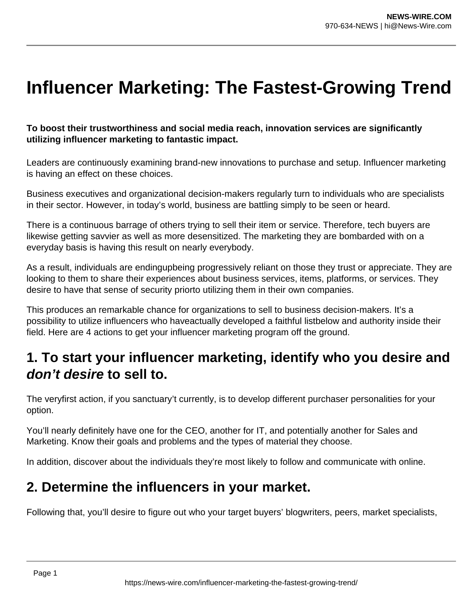# **Influencer Marketing: The Fastest-Growing Trend**

**To boost their trustworthiness and social media reach, innovation services are significantly utilizing influencer marketing to fantastic impact.**

Leaders are continuously examining brand-new innovations to purchase and setup. Influencer marketing is having an effect on these choices.

Business executives and organizational decision-makers regularly turn to individuals who are specialists in their sector. However, in today's world, business are battling simply to be seen or heard.

There is a continuous barrage of others trying to sell their item or service. Therefore, tech buyers are likewise getting savvier as well as more desensitized. The marketing they are bombarded with on a everyday basis is having this result on nearly everybody.

As a result, individuals are endingupbeing progressively reliant on those they trust or appreciate. They are looking to them to share their experiences about business services, items, platforms, or services. They desire to have that sense of security priorto utilizing them in their own companies.

This produces an remarkable chance for organizations to sell to business decision-makers. It's a possibility to utilize influencers who haveactually developed a faithful listbelow and authority inside their field. Here are 4 actions to get your influencer marketing program off the ground.

### **1. To start your influencer marketing, identify who you desire and don't desire to sell to.**

The veryfirst action, if you sanctuary't currently, is to develop different purchaser personalities for your option.

You'll nearly definitely have one for the CEO, another for IT, and potentially another for Sales and Marketing. Know their goals and problems and the types of material they choose.

In addition, discover about the individuals they're most likely to follow and communicate with online.

### **2. Determine the influencers in your market.**

Following that, you'll desire to figure out who your target buyers' blogwriters, peers, market specialists,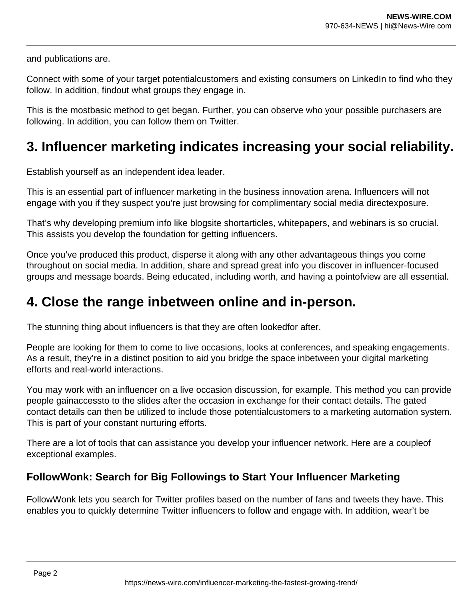and publications are.

Connect with some of your target potentialcustomers and existing consumers on LinkedIn to find who they follow. In addition, findout what groups they engage in.

This is the mostbasic method to get began. Further, you can observe who your possible purchasers are following. In addition, you can follow them on Twitter.

## **3. Influencer marketing indicates increasing your social reliability.**

Establish yourself as an independent idea leader.

This is an essential part of influencer marketing in the business innovation arena. Influencers will not engage with you if they suspect you're just browsing for complimentary social media directexposure.

That's why developing premium info like blogsite shortarticles, whitepapers, and webinars is so crucial. This assists you develop the foundation for getting influencers.

Once you've produced this product, disperse it along with any other advantageous things you come throughout on social media. In addition, share and spread great info you discover in influencer-focused groups and message boards. Being educated, including worth, and having a pointofview are all essential.

### **4. Close the range inbetween online and in-person.**

The stunning thing about influencers is that they are often lookedfor after.

People are looking for them to come to live occasions, looks at conferences, and speaking engagements. As a result, they're in a distinct position to aid you bridge the space inbetween your digital marketing efforts and real-world interactions.

You may work with an influencer on a live occasion discussion, for example. This method you can provide people gainaccessto to the slides after the occasion in exchange for their contact details. The gated contact details can then be utilized to include those potentialcustomers to a marketing automation system. This is part of your constant nurturing efforts.

There are a lot of tools that can assistance you develop your influencer network. Here are a coupleof exceptional examples.

#### **FollowWonk: Search for Big Followings to Start Your Influencer Marketing**

FollowWonk lets you search for Twitter profiles based on the number of fans and tweets they have. This enables you to quickly determine Twitter influencers to follow and engage with. In addition, wear't be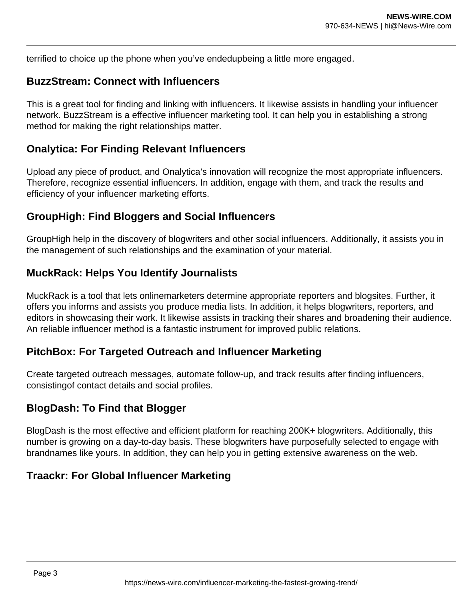terrified to choice up the phone when you've endedupbeing a little more engaged.

#### **BuzzStream: Connect with Influencers**

This is a great tool for finding and linking with influencers. It likewise assists in handling your influencer network. BuzzStream is a effective influencer marketing tool. It can help you in establishing a strong method for making the right relationships matter.

#### **Onalytica: For Finding Relevant Influencers**

Upload any piece of product, and Onalytica's innovation will recognize the most appropriate influencers. Therefore, recognize essential influencers. In addition, engage with them, and track the results and efficiency of your influencer marketing efforts.

#### **GroupHigh: Find Bloggers and Social Influencers**

GroupHigh help in the discovery of blogwriters and other social influencers. Additionally, it assists you in the management of such relationships and the examination of your material.

#### **MuckRack: Helps You Identify Journalists**

MuckRack is a tool that lets onlinemarketers determine appropriate reporters and blogsites. Further, it offers you informs and assists you produce media lists. In addition, it helps blogwriters, reporters, and editors in showcasing their work. It likewise assists in tracking their shares and broadening their audience. An reliable influencer method is a fantastic instrument for improved public relations.

#### **PitchBox: For Targeted Outreach and Influencer Marketing**

Create targeted outreach messages, automate follow-up, and track results after finding influencers, consistingof contact details and social profiles.

#### **BlogDash: To Find that Blogger**

BlogDash is the most effective and efficient platform for reaching 200K+ blogwriters. Additionally, this number is growing on a day-to-day basis. These blogwriters have purposefully selected to engage with brandnames like yours. In addition, they can help you in getting extensive awareness on the web.

#### **Traackr: For Global Influencer Marketing**